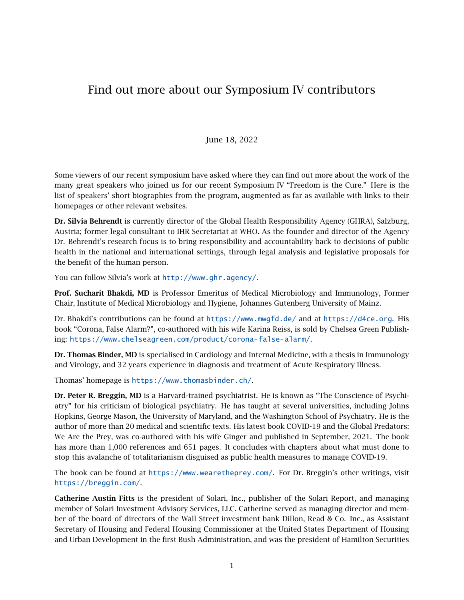## Find out more about our Symposium IV contributors

## June 18, 2022

Some viewers of our recent symposium have asked where they can find out more about the work of the many great speakers who joined us for our recent Symposium IV "Freedom is the Cure." Here is the list of speakers' short biographies from the program, augmented as far as available with links to their homepages or other relevant websites.

Dr. Silvia Behrendt is currently director of the Global Health Responsibility Agency (GHRA), Salzburg, Austria; former legal consultant to IHR Secretariat at WHO. As the founder and director of the Agency Dr. Behrendt's research focus is to bring responsibility and accountability back to decisions of public health in the national and international settings, through legal analysis and legislative proposals for the benefit of the human person.

You can follow Silvia's work at <http://www.ghr.agency/>.

Prof. Sucharit Bhakdi, MD is Professor Emeritus of Medical Microbiology and Immunology, Former Chair, Institute of Medical Microbiology and Hygiene, Johannes Gutenberg University of Mainz.

Dr. Bhakdi's contributions can be found at <https://www.mwgfd.de/> and at <https://d4ce.org>. His book "Corona, False Alarm?", co-authored with his wife Karina Reiss, is sold by Chelsea Green Publishing: <https://www.chelseagreen.com/product/corona-false-alarm/>.

Dr. Thomas Binder, MD is specialised in Cardiology and Internal Medicine, with a thesis in Immunology and Virology, and 32 years experience in diagnosis and treatment of Acute Respiratory Illness.

Thomas' homepage is <https://www.thomasbinder.ch/>.

Dr. Peter R. Breggin, MD is a Harvard-trained psychiatrist. He is known as "The Conscience of Psychiatry" for his criticism of biological psychiatry. He has taught at several universities, including Johns Hopkins, George Mason, the University of Maryland, and the Washington School of Psychiatry. He is the author of more than 20 medical and scientific texts. His latest book COVID-19 and the Global Predators: We Are the Prey, was co-authored with his wife Ginger and published in September, 2021. The book has more than 1,000 references and 651 pages. It concludes with chapters about what must done to stop this avalanche of totalitarianism disguised as public health measures to manage COVID-19.

The book can be found at <https://www.wearetheprey.com/>. For Dr. Breggin's other writings, visit <https://breggin.com/>.

Catherine Austin Fitts is the president of Solari, Inc., publisher of the Solari Report, and managing member of Solari Investment Advisory Services, LLC. Catherine served as managing director and member of the board of directors of the Wall Street investment bank Dillon, Read & Co. Inc., as Assistant Secretary of Housing and Federal Housing Commissioner at the United States Department of Housing and Urban Development in the first Bush Administration, and was the president of Hamilton Securities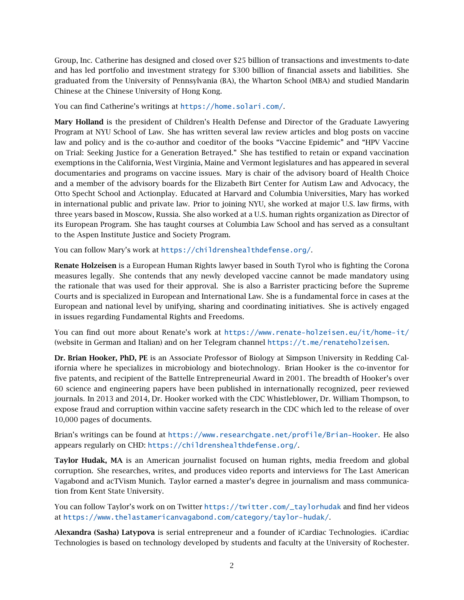Group, Inc. Catherine has designed and closed over \$25 billion of transactions and investments to-date and has led portfolio and investment strategy for \$300 billion of financial assets and liabilities. She graduated from the University of Pennsylvania (BA), the Wharton School (MBA) and studied Mandarin Chinese at the Chinese University of Hong Kong.

You can find Catherine's writings at <https://home.solari.com/>.

Mary Holland is the president of Children's Health Defense and Director of the Graduate Lawyering Program at NYU School of Law. She has written several law review articles and blog posts on vaccine law and policy and is the co-author and coeditor of the books "Vaccine Epidemic" and "HPV Vaccine on Trial: Seeking Justice for a Generation Betrayed." She has testified to retain or expand vaccination exemptions in the California, West Virginia, Maine and Vermont legislatures and has appeared in several documentaries and programs on vaccine issues. Mary is chair of the advisory board of Health Choice and a member of the advisory boards for the Elizabeth Birt Center for Autism Law and Advocacy, the Otto Specht School and Actionplay. Educated at Harvard and Columbia Universities, Mary has worked in international public and private law. Prior to joining NYU, she worked at major U.S. law firms, with three years based in Moscow, Russia. She also worked at a U.S. human rights organization as Director of its European Program. She has taught courses at Columbia Law School and has served as a consultant to the Aspen Institute Justice and Society Program.

You can follow Mary's work at <https://childrenshealthdefense.org/>.

Renate Holzeisen is a European Human Rights lawyer based in South Tyrol who is fighting the Corona measures legally. She contends that any newly developed vaccine cannot be made mandatory using the rationale that was used for their approval. She is also a Barrister practicing before the Supreme Courts and is specialized in European and International Law. She is a fundamental force in cases at the European and national level by unifying, sharing and coordinating initiatives. She is actively engaged in issues regarding Fundamental Rights and Freedoms.

You can find out more about Renate's work at <https://www.renate-holzeisen.eu/it/home-it/> (website in German and Italian) and on her Telegram channel <https://t.me/renateholzeisen>.

Dr. Brian Hooker, PhD, PE is an Associate Professor of Biology at Simpson University in Redding California where he specializes in microbiology and biotechnology. Brian Hooker is the co-inventor for five patents, and recipient of the Battelle Entrepreneurial Award in 2001. The breadth of Hooker's over 60 science and engineering papers have been published in internationally recognized, peer reviewed journals. In 2013 and 2014, Dr. Hooker worked with the CDC Whistleblower, Dr. William Thompson, to expose fraud and corruption within vaccine safety research in the CDC which led to the release of over 10,000 pages of documents.

Brian's writings can be found at <https://www.researchgate.net/profile/Brian-Hooker>. He also appears regularly on CHD: <https://childrenshealthdefense.org/>.

Taylor Hudak, MA is an American journalist focused on human rights, media freedom and global corruption. She researches, writes, and produces video reports and interviews for The Last American Vagabond and acTVism Munich. Taylor earned a master's degree in journalism and mass communication from Kent State University.

You can follow Taylor's work on on Twitter [https://twitter.com/\\_taylorhudak](https://twitter.com/_taylorhudak) and find her videos at <https://www.thelastamericanvagabond.com/category/taylor-hudak/>.

Alexandra (Sasha) Latypova is serial entrepreneur and a founder of iCardiac Technologies. iCardiac Technologies is based on technology developed by students and faculty at the University of Rochester.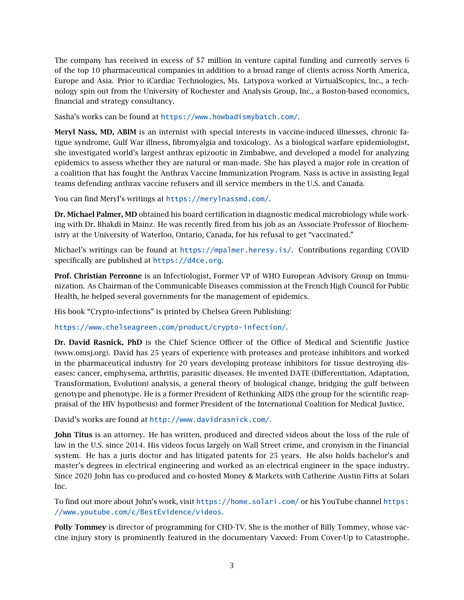The company has received in excess of \$7 million in venture capital funding and currently serves 6 of the top 10 pharmaceutical companies in addition to a broad range of clients across North America, Europe and Asia. Prior to iCardiac Technologies, Ms. Latypova worked at VirtualScopics, Inc., a technology spin out from the University of Rochester and Analysis Group, Inc., a Boston-based economics, financial and strategy consultancy.

Sasha's works can be found at <https://www.howbadismybatch.com/>.

Meryl Nass, MD, ABIM is an internist with special interests in vaccine-induced illnesses, chronic fatigue syndrome, Gulf War illness, fibromyalgia and toxicology. As a biological warfare epidemiologist, she investigated world's largest anthrax epizootic in Zimbabwe, and developed a model for analyzing epidemics to assess whether they are natural or man-made. She has played a major role in creation of a coalition that has fought the Anthrax Vaccine Immunization Program. Nass is active in assisting legal teams defending anthrax vaccine refusers and ill service members in the U.S. and Canada.

You can find Meryl's writings at <https://merylnassmd.com/>.

Dr. Michael Palmer, MD obtained his board certification in diagnostic medical microbiology while working with Dr. Bhakdi in Mainz. He was recently fired from his job as an Associate Professor of Biochemistry at the University of Waterloo, Ontario, Canada, for his refusal to get "vaccinated."

Michael's writings can be found at <https://mpalmer.heresy.is/>. Contributions regarding COVID specifically are published at <https://d4ce.org>.

Prof. Christian Perronne is an Infectiologist, Former VP of WHO European Advisory Group on Immunization. As Chairman of the Communicable Diseases commission at the French High Council for Public Health, he helped several governments for the management of epidemics.

His book "Crypto-infections" is printed by Chelsea Green Publishing:

<https://www.chelseagreen.com/product/crypto-infection/>.

Dr. David Rasnick, PhD is the Chief Science Officer of the Office of Medical and Scientific Justice (www.omsj.org). David has 25 years of experience with proteases and protease inhibitors and worked in the pharmaceutical industry for 20 years developing protease inhibitors for tissue destroying diseases: cancer, emphysema, arthritis, parasitic diseases. He invented DATE (Differentiation, Adaptation, Transformation, Evolution) analysis, a general theory of biological change, bridging the gulf between genotype and phenotype. He is a former President of Rethinking AIDS (the group for the scientific reappraisal of the HIV hypothesis) and former President of the International Coalition for Medical Justice.

David's works are found at <http://www.davidrasnick.com/>.

John Titus is an attorney. He has written, produced and directed videos about the loss of the rule of law in the U.S. since 2014. His videos focus largely on Wall Street crime, and cronyism in the Financial system. He has a juris doctor and has litigated patents for 25 years. He also holds bachelor's and master's degrees in electrical engineering and worked as an electrical engineer in the space industry. Since 2020 John has co-produced and co-hosted Money & Markets with Catherine Austin Fitts at Solari Inc.

To find out more about John's work, visit <https://home.solari.com/> or his YouTube channel [https:](https://www.youtube.com/c/BestEvidence/videos) [//www.youtube.com/c/BestEvidence/videos](https://www.youtube.com/c/BestEvidence/videos).

Polly Tommey is director of programming for CHD-TV. She is the mother of Billy Tommey, whose vaccine injury story is prominently featured in the documentary Vaxxed: From Cover-Up to Catastrophe.